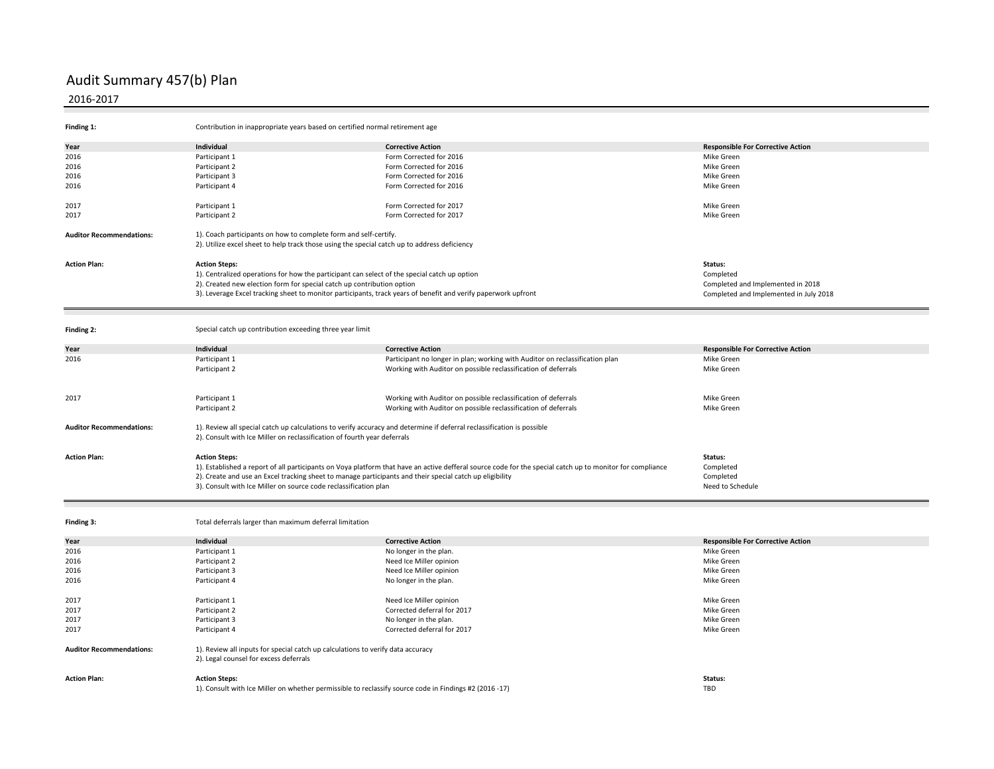## Audit Summary 457(b) Plan

## 2016-2017

| Finding 1:                      | Contribution in inappropriate years based on certified normal retirement age                                                                                                                       |                                                                                                                                                           |                                          |  |  |
|---------------------------------|----------------------------------------------------------------------------------------------------------------------------------------------------------------------------------------------------|-----------------------------------------------------------------------------------------------------------------------------------------------------------|------------------------------------------|--|--|
| Year                            | Individual                                                                                                                                                                                         | <b>Corrective Action</b>                                                                                                                                  | <b>Responsible For Corrective Action</b> |  |  |
| 2016                            | Participant 1                                                                                                                                                                                      | Form Corrected for 2016                                                                                                                                   | Mike Green                               |  |  |
| 2016                            | Participant 2                                                                                                                                                                                      | Form Corrected for 2016                                                                                                                                   | Mike Green                               |  |  |
|                                 |                                                                                                                                                                                                    |                                                                                                                                                           |                                          |  |  |
| 2016                            | Participant 3                                                                                                                                                                                      | Form Corrected for 2016                                                                                                                                   | <b>Mike Green</b>                        |  |  |
| 2016                            | Participant 4                                                                                                                                                                                      | Form Corrected for 2016                                                                                                                                   | Mike Green                               |  |  |
| 2017                            | Participant 1                                                                                                                                                                                      | Form Corrected for 2017                                                                                                                                   | Mike Green                               |  |  |
| 2017                            | Participant 2                                                                                                                                                                                      | Form Corrected for 2017                                                                                                                                   | Mike Green                               |  |  |
| <b>Auditor Recommendations:</b> | 1). Coach participants on how to complete form and self-certify.<br>2). Utilize excel sheet to help track those using the special catch up to address deficiency                                   |                                                                                                                                                           |                                          |  |  |
| <b>Action Plan:</b>             | Status:<br><b>Action Steps:</b>                                                                                                                                                                    |                                                                                                                                                           |                                          |  |  |
|                                 | 1). Centralized operations for how the participant can select of the special catch up option                                                                                                       |                                                                                                                                                           | Completed                                |  |  |
|                                 | 2). Created new election form for special catch up contribution option                                                                                                                             | Completed and Implemented in 2018                                                                                                                         |                                          |  |  |
|                                 | 3). Leverage Excel tracking sheet to monitor participants, track years of benefit and verify paperwork upfront                                                                                     | Completed and Implemented in July 2018                                                                                                                    |                                          |  |  |
|                                 |                                                                                                                                                                                                    |                                                                                                                                                           |                                          |  |  |
| Finding 2:                      | Special catch up contribution exceeding three year limit                                                                                                                                           |                                                                                                                                                           |                                          |  |  |
| Year                            | Individual                                                                                                                                                                                         | <b>Corrective Action</b>                                                                                                                                  | <b>Responsible For Corrective Action</b> |  |  |
| 2016                            | Participant 1                                                                                                                                                                                      | Participant no longer in plan; working with Auditor on reclassification plan                                                                              | Mike Green                               |  |  |
|                                 | Participant 2                                                                                                                                                                                      | Working with Auditor on possible reclassification of deferrals                                                                                            | Mike Green                               |  |  |
|                                 |                                                                                                                                                                                                    |                                                                                                                                                           |                                          |  |  |
| 2017                            | Participant 1                                                                                                                                                                                      | Working with Auditor on possible reclassification of deferrals                                                                                            | Mike Green                               |  |  |
|                                 | Participant 2                                                                                                                                                                                      | Working with Auditor on possible reclassification of deferrals                                                                                            | Mike Green                               |  |  |
|                                 |                                                                                                                                                                                                    |                                                                                                                                                           |                                          |  |  |
| <b>Auditor Recommendations:</b> | 1). Review all special catch up calculations to verify accuracy and determine if deferral reclassification is possible<br>2). Consult with Ice Miller on reclassification of fourth year deferrals |                                                                                                                                                           |                                          |  |  |
|                                 |                                                                                                                                                                                                    |                                                                                                                                                           |                                          |  |  |
| <b>Action Plan:</b>             | <b>Action Steps:</b>                                                                                                                                                                               |                                                                                                                                                           | Status:                                  |  |  |
|                                 |                                                                                                                                                                                                    | 1). Established a report of all participants on Voya platform that have an active defferal source code for the special catch up to monitor for compliance | Completed                                |  |  |
|                                 | 2). Create and use an Excel tracking sheet to manage participants and their special catch up eligibility                                                                                           |                                                                                                                                                           | Completed                                |  |  |
|                                 | 3). Consult with Ice Miller on source code reclassification plan                                                                                                                                   |                                                                                                                                                           | Need to Schedule                         |  |  |
|                                 |                                                                                                                                                                                                    |                                                                                                                                                           |                                          |  |  |
| Finding 3:                      | Total deferrals larger than maximum deferral limitation                                                                                                                                            |                                                                                                                                                           |                                          |  |  |
| Year                            | Individual                                                                                                                                                                                         | <b>Corrective Action</b>                                                                                                                                  | <b>Responsible For Corrective Action</b> |  |  |
| 2016                            | Participant 1                                                                                                                                                                                      | No longer in the plan.                                                                                                                                    | Mike Green                               |  |  |
| 2016                            | Participant 2                                                                                                                                                                                      | Need Ice Miller opinion                                                                                                                                   | Mike Green                               |  |  |
| 2016                            | Participant 3                                                                                                                                                                                      | Need Ice Miller opinion                                                                                                                                   | <b>Mike Green</b>                        |  |  |
| 2016                            | Participant 4                                                                                                                                                                                      | No longer in the plan.                                                                                                                                    | Mike Green                               |  |  |
| 2017                            |                                                                                                                                                                                                    |                                                                                                                                                           | Mike Green                               |  |  |
|                                 | Participant 1                                                                                                                                                                                      | Need Ice Miller opinion                                                                                                                                   |                                          |  |  |
| 2017                            | Participant 2                                                                                                                                                                                      | Corrected deferral for 2017                                                                                                                               | Mike Green                               |  |  |
| 2017                            | Participant 3                                                                                                                                                                                      | No longer in the plan.                                                                                                                                    | Mike Green                               |  |  |
| 2017                            | Participant 4                                                                                                                                                                                      | Corrected deferral for 2017                                                                                                                               | Mike Green                               |  |  |
| <b>Auditor Recommendations:</b> | 1). Review all inputs for special catch up calculations to verify data accuracy<br>2). Legal counsel for excess deferrals                                                                          |                                                                                                                                                           |                                          |  |  |
| <b>Action Plan:</b>             | <b>Action Steps:</b>                                                                                                                                                                               |                                                                                                                                                           | Status:                                  |  |  |
|                                 | 1). Consult with Ice Miller on whether permissible to reclassify source code in Findings #2 (2016 -17)                                                                                             |                                                                                                                                                           | <b>TBD</b>                               |  |  |
|                                 |                                                                                                                                                                                                    |                                                                                                                                                           |                                          |  |  |